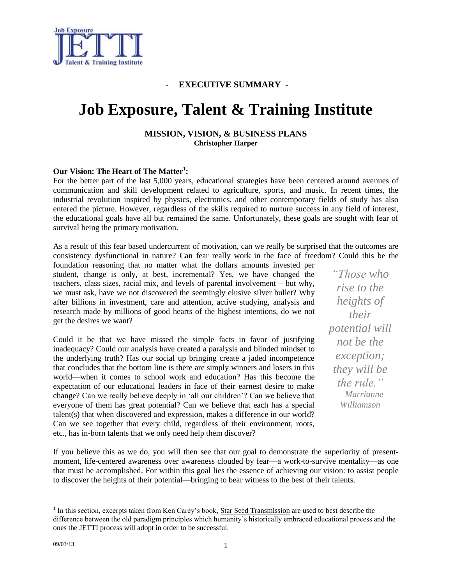

#### - **EXECUTIVE SUMMARY -**

# **Job Exposure, Talent & Training Institute**

#### **MISSION, VISION, & BUSINESS PLANS Christopher Harper**

#### **Our Vision: The Heart of The Matter<sup>1</sup> :**

For the better part of the last 5,000 years, educational strategies have been centered around avenues of communication and skill development related to agriculture, sports, and music. In recent times, the industrial revolution inspired by physics, electronics, and other contemporary fields of study has also entered the picture. However, regardless of the skills required to nurture success in any field of interest, the educational goals have all but remained the same. Unfortunately, these goals are sought with fear of survival being the primary motivation.

As a result of this fear based undercurrent of motivation, can we really be surprised that the outcomes are consistency dysfunctional in nature? Can fear really work in the face of freedom? Could this be the

foundation reasoning that no matter what the dollars amounts invested per student, change is only, at best, incremental? Yes, we have changed the teachers, class sizes, racial mix, and levels of parental involvement – but why, we must ask, have we not discovered the seemingly elusive silver bullet? Why after billions in investment, care and attention, active studying, analysis and research made by millions of good hearts of the highest intentions, do we not get the desires we want?

Could it be that we have missed the simple facts in favor of justifying inadequacy? Could our analysis have created a paralysis and blinded mindset to the underlying truth? Has our social up bringing create a jaded incompetence that concludes that the bottom line is there are simply winners and losers in this world—when it comes to school work and education? Has this become the expectation of our educational leaders in face of their earnest desire to make change? Can we really believe deeply in 'all our children'? Can we believe that everyone of them has great potential? Can we believe that each has a special talent(s) that when discovered and expression, makes a difference in our world? Can we see together that every child, regardless of their environment, roots, etc., has in-born talents that we only need help them discover?

*"Those who rise to the heights of their potential will not be the exception; they will be the rule." —Marrianne Williamson*

If you believe this as we do, you will then see that our goal to demonstrate the superiority of presentmoment, life-centered awareness over awareness clouded by fear—a work-to-survive mentality—as one that must be accomplished. For within this goal lies the essence of achieving our vision: to assist people to discover the heights of their potential—bringing to bear witness to the best of their talents.

<sup>&</sup>lt;sup>1</sup> In this section, excerpts taken from Ken Carey's book, <u>Star Seed Transmission</u> are used to best describe the difference between the old paradigm principles which humanity's historically embraced educational process and the ones the JETTI process will adopt in order to be successful.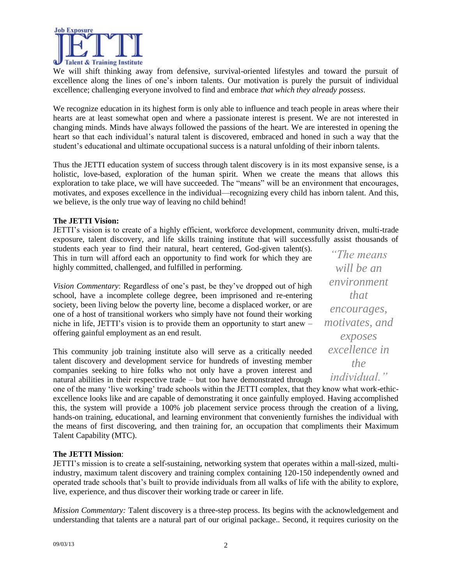

We will shift thinking away from defensive, survival-oriented lifestyles and toward the pursuit of excellence along the lines of one's inborn talents. Our motivation is purely the pursuit of individual excellence; challenging everyone involved to find and embrace *that which they already possess*.

We recognize education in its highest form is only able to influence and teach people in areas where their hearts are at least somewhat open and where a passionate interest is present. We are not interested in changing minds. Minds have always followed the passions of the heart. We are interested in opening the heart so that each individual's natural talent is discovered, embraced and honed in such a way that the student's educational and ultimate occupational success is a natural unfolding of their inborn talents.

Thus the JETTI education system of success through talent discovery is in its most expansive sense, is a holistic, love-based, exploration of the human spirit. When we create the means that allows this exploration to take place, we will have succeeded. The "means" will be an environment that encourages, motivates, and exposes excellence in the individual—recognizing every child has inborn talent. And this, we believe, is the only true way of leaving no child behind!

#### **The JETTI Vision:**

JETTI's vision is to create of a highly efficient, workforce development, community driven, multi-trade exposure, talent discovery, and life skills training institute that will successfully assist thousands of

students each year to find their natural, heart centered, God-given talent(s). This in turn will afford each an opportunity to find work for which they are highly committed, challenged, and fulfilled in performing.

*Vision Commentary*: Regardless of one's past, be they've dropped out of high school, have a incomplete college degree, been imprisoned and re-entering society, been living below the poverty line, become a displaced worker, or are one of a host of transitional workers who simply have not found their working niche in life, JETTI's vision is to provide them an opportunity to start anew – offering gainful employment as an end result.

This community job training institute also will serve as a critically needed talent discovery and development service for hundreds of investing member companies seeking to hire folks who not only have a proven interest and natural abilities in their respective trade – but too have demonstrated through

*"The means will be an environment that encourages, motivates, and exposes excellence in the individual."*

one of the many 'live working' trade schools within the JETTI complex, that they know what work-ethicexcellence looks like and are capable of demonstrating it once gainfully employed. Having accomplished this, the system will provide a 100% job placement service process through the creation of a living, hands-on training, educational, and learning environment that conveniently furnishes the individual with the means of first discovering, and then training for, an occupation that compliments their Maximum Talent Capability (MTC).

#### **The JETTI Mission**:

JETTI's mission is to create a self-sustaining, networking system that operates within a mall-sized, multiindustry, maximum talent discovery and training complex containing 120-150 independently owned and operated trade schools that's built to provide individuals from all walks of life with the ability to explore, live, experience, and thus discover their working trade or career in life.

*Mission Commentary:* Talent discovery is a three-step process. Its begins with the acknowledgement and understanding that talents are a natural part of our original package.. Second, it requires curiosity on the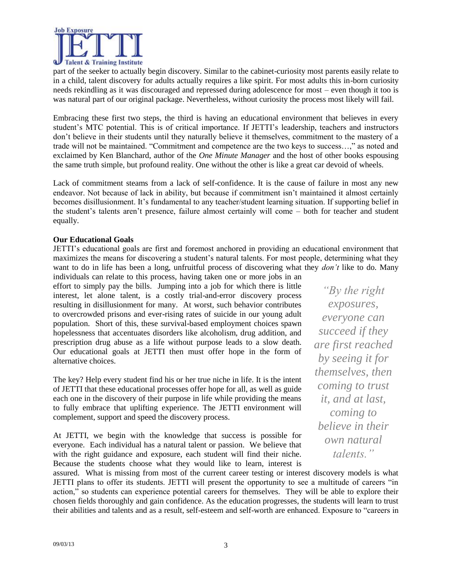

part of the seeker to actually begin discovery. Similar to the cabinet-curiosity most parents easily relate to in a child, talent discovery for adults actually requires a like spirit. For most adults this in-born curiosity needs rekindling as it was discouraged and repressed during adolescence for most – even though it too is was natural part of our original package. Nevertheless, without curiosity the process most likely will fail.

Embracing these first two steps, the third is having an educational environment that believes in every student's MTC potential. This is of critical importance. If JETTI's leadership, teachers and instructors don't believe in their students until they naturally believe it themselves, commitment to the mastery of a trade will not be maintained. "Commitment and competence are the two keys to success…," as noted and exclaimed by Ken Blanchard, author of the *One Minute Manager* and the host of other books espousing the same truth simple, but profound reality. One without the other is like a great car devoid of wheels.

Lack of commitment steams from a lack of self-confidence. It is the cause of failure in most any new endeavor. Not because of lack in ability, but because if commitment isn't maintained it almost certainly becomes disillusionment. It's fundamental to any teacher/student learning situation. If supporting belief in the student's talents aren't presence, failure almost certainly will come – both for teacher and student equally.

#### **Our Educational Goals**

JETTI's educational goals are first and foremost anchored in providing an educational environment that maximizes the means for discovering a student's natural talents. For most people, determining what they want to do in life has been a long, unfruitful process of discovering what they *don't* like to do. Many

individuals can relate to this process, having taken one or more jobs in an effort to simply pay the bills. Jumping into a job for which there is little interest, let alone talent, is a costly trial-and-error discovery process resulting in disillusionment for many. At worst, such behavior contributes to overcrowded prisons and ever-rising rates of suicide in our young adult population. Short of this, these survival-based employment choices spawn hopelessness that accentuates disorders like alcoholism, drug addition, and prescription drug abuse as a life without purpose leads to a slow death. Our educational goals at JETTI then must offer hope in the form of alternative choices.

The key? Help every student find his or her true niche in life. It is the intent of JETTI that these educational processes offer hope for all, as well as guide each one in the discovery of their purpose in life while providing the means to fully embrace that uplifting experience. The JETTI environment will complement, support and speed the discovery process.

At JETTI, we begin with the knowledge that success is possible for everyone. Each individual has a natural talent or passion. We believe that with the right guidance and exposure, each student will find their niche. Because the students choose what they would like to learn, interest is

*"By the right exposures, everyone can succeed if they are first reached by seeing it for themselves, then coming to trust it, and at last, coming to believe in their own natural talents."*

assured. What is missing from most of the current career testing or interest discovery models is what JETTI plans to offer its students. JETTI will present the opportunity to see a multitude of careers "in action," so students can experience potential careers for themselves. They will be able to explore their chosen fields thoroughly and gain confidence. As the education progresses, the students will learn to trust their abilities and talents and as a result, self-esteem and self-worth are enhanced. Exposure to "careers in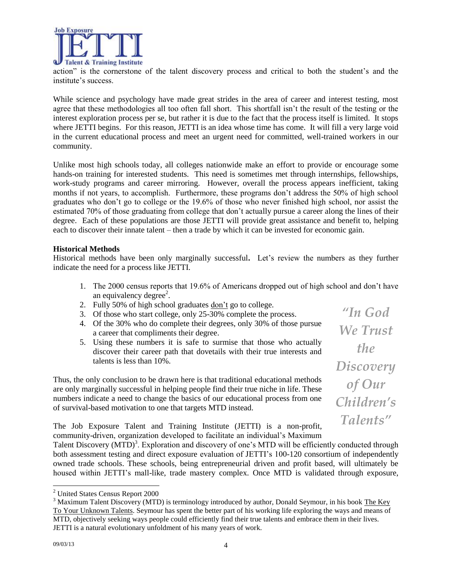

action" is the cornerstone of the talent discovery process and critical to both the student's and the institute's success.

While science and psychology have made great strides in the area of career and interest testing, most agree that these methodologies all too often fall short. This shortfall isn't the result of the testing or the interest exploration process per se, but rather it is due to the fact that the process itself is limited. It stops where JETTI begins. For this reason, JETTI is an idea whose time has come. It will fill a very large void in the current educational process and meet an urgent need for committed, well-trained workers in our community.

Unlike most high schools today, all colleges nationwide make an effort to provide or encourage some hands-on training for interested students. This need is sometimes met through internships, fellowships, work-study programs and career mirroring. However, overall the process appears inefficient, taking months if not years, to accomplish. Furthermore, these programs don't address the 50% of high school graduates who don't go to college or the 19.6% of those who never finished high school, nor assist the estimated 70% of those graduating from college that don't actually pursue a career along the lines of their degree. Each of these populations are those JETTI will provide great assistance and benefit to, helping each to discover their innate talent – then a trade by which it can be invested for economic gain.

#### **Historical Methods**

Historical methods have been only marginally successful**.** Let's review the numbers as they further indicate the need for a process like JETTI.

- 1. The 2000 census reports that 19.6% of Americans dropped out of high school and don't have an equivalency degree<sup>2</sup>.
- 2. Fully 50% of high school graduates don't go to college.
- 3. Of those who start college, only 25-30% complete the process.
- 4. Of the 30% who do complete their degrees, only 30% of those pursue a career that compliments their degree.
- 5. Using these numbers it is safe to surmise that those who actually discover their career path that dovetails with their true interests and talents is less than 10%.

Thus, the only conclusion to be drawn here is that traditional educational methods are only marginally successful in helping people find their true niche in life. These numbers indicate a need to change the basics of our educational process from one of survival-based motivation to one that targets MTD instead.

*"In God We Trust the Discovery of Our Children's Talents"*

The Job Exposure Talent and Training Institute (JETTI) is a non-profit, community-driven, organization developed to facilitate an individual's Maximum

Talent Discovery (MTD)<sup>3</sup>. Exploration and discovery of one's MTD will be efficiently conducted through both assessment testing and direct exposure evaluation of JETTI's 100-120 consortium of independently owned trade schools. These schools, being entrepreneurial driven and profit based, will ultimately be housed within JETTI's mall-like, trade mastery complex. Once MTD is validated through exposure,

<sup>&</sup>lt;sup>2</sup> United States Census Report 2000

<sup>&</sup>lt;sup>3</sup> Maximum Talent Discovery (MTD) is terminology introduced by author, Donald Seymour, in his book The Key To Your Unknown Talents. Seymour has spent the better part of his working life exploring the ways and means of MTD, objectively seeking ways people could efficiently find their true talents and embrace them in their lives. JETTI is a natural evolutionary unfoldment of his many years of work.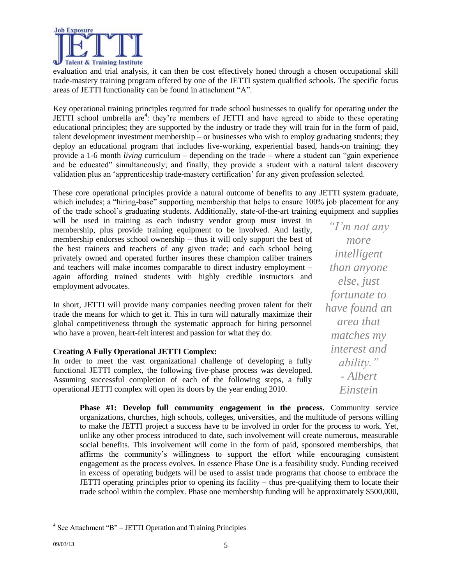

evaluation and trial analysis, it can then be cost effectively honed through a chosen occupational skill trade-mastery training program offered by one of the JETTI system qualified schools. The specific focus areas of JETTI functionality can be found in attachment "A".

Key operational training principles required for trade school businesses to qualify for operating under the JETTI school umbrella are<sup>4</sup>: they're members of JETTI and have agreed to abide to these operating educational principles; they are supported by the industry or trade they will train for in the form of paid, talent development investment membership – or businesses who wish to employ graduating students; they deploy an educational program that includes live-working, experiential based, hands-on training; they provide a 1-6 month *living* curriculum – depending on the trade – where a student can "gain experience and be educated" simultaneously; and finally, they provide a student with a natural talent discovery validation plus an 'apprenticeship trade-mastery certification' for any given profession selected.

These core operational principles provide a natural outcome of benefits to any JETTI system graduate, which includes; a "hiring-base" supporting membership that helps to ensure 100% job placement for any of the trade school's graduating students. Additionally, state-of-the-art training equipment and supplies

will be used in training as each industry vendor group must invest in membership, plus provide training equipment to be involved. And lastly, membership endorses school ownership – thus it will only support the best of the best trainers and teachers of any given trade; and each school being privately owned and operated further insures these champion caliber trainers and teachers will make incomes comparable to direct industry employment – again affording trained students with highly credible instructors and employment advocates.

In short, JETTI will provide many companies needing proven talent for their trade the means for which to get it. This in turn will naturally maximize their global competitiveness through the systematic approach for hiring personnel who have a proven, heart-felt interest and passion for what they do.

#### **Creating A Fully Operational JETTI Complex:**

In order to meet the vast organizational challenge of developing a fully functional JETTI complex, the following five-phase process was developed. Assuming successful completion of each of the following steps, a fully operational JETTI complex will open its doors by the year ending 2010.

*"I'm not any more intelligent than anyone else, just fortunate to have found an area that matches my interest and ability." - Albert Einstein*

**Phase #1: Develop full community engagement in the process.** Community service organizations, churches, high schools, colleges, universities, and the multitude of persons willing to make the JETTI project a success have to be involved in order for the process to work. Yet, unlike any other process introduced to date, such involvement will create numerous, measurable social benefits. This involvement will come in the form of paid, sponsored memberships, that affirms the community's willingness to support the effort while encouraging consistent engagement as the process evolves. In essence Phase One is a feasibility study. Funding received in excess of operating budgets will be used to assist trade programs that choose to embrace the JETTI operating principles prior to opening its facility – thus pre-qualifying them to locate their trade school within the complex. Phase one membership funding will be approximately \$500,000,

<sup>&</sup>lt;sup>4</sup> See Attachment "B" – JETTI Operation and Training Principles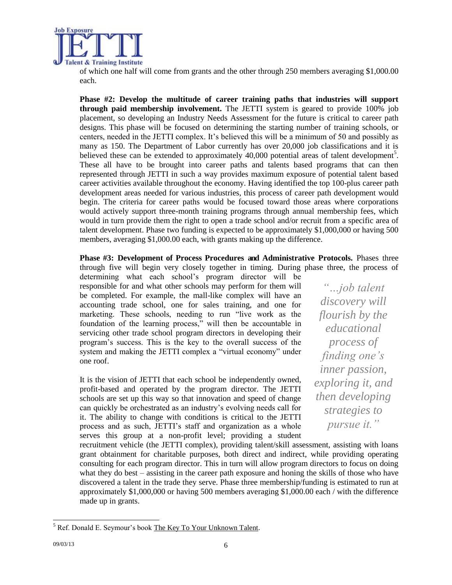

of which one half will come from grants and the other through 250 members averaging \$1,000.00 each.

**Phase #2: Develop the multitude of career training paths that industries will support through paid membership involvement.** The JETTI system is geared to provide 100% job placement, so developing an Industry Needs Assessment for the future is critical to career path designs. This phase will be focused on determining the starting number of training schools, or centers, needed in the JETTI complex. It's believed this will be a minimum of 50 and possibly as many as 150. The Department of Labor currently has over 20,000 job classifications and it is believed these can be extended to approximately 40,000 potential areas of talent development<sup>5</sup>. These all have to be brought into career paths and talents based programs that can then represented through JETTI in such a way provides maximum exposure of potential talent based career activities available throughout the economy. Having identified the top 100-plus career path development areas needed for various industries, this process of career path development would begin. The criteria for career paths would be focused toward those areas where corporations would actively support three-month training programs through annual membership fees, which would in turn provide them the right to open a trade school and/or recruit from a specific area of talent development. Phase two funding is expected to be approximately \$1,000,000 or having 500 members, averaging \$1,000.00 each, with grants making up the difference.

**Phase #3: Development of Process Procedures and Administrative Protocols.** Phases three through five will begin very closely together in timing. During phase three, the process of

determining what each school's program director will be responsible for and what other schools may perform for them will be completed. For example, the mall-like complex will have an accounting trade school, one for sales training, and one for marketing. These schools, needing to run "live work as the foundation of the learning process," will then be accountable in servicing other trade school program directors in developing their program's success. This is the key to the overall success of the system and making the JETTI complex a "virtual economy" under one roof.

It is the vision of JETTI that each school be independently owned, profit-based and operated by the program director. The JETTI schools are set up this way so that innovation and speed of change can quickly be orchestrated as an industry's evolving needs call for it. The ability to change with conditions is critical to the JETTI process and as such, JETTI's staff and organization as a whole serves this group at a non-profit level; providing a student

*"…job talent discovery will flourish by the educational process of finding one's inner passion, exploring it, and then developing strategies to pursue it."*

recruitment vehicle (the JETTI complex), providing talent/skill assessment, assisting with loans grant obtainment for charitable purposes, both direct and indirect, while providing operating consulting for each program director. This in turn will allow program directors to focus on doing what they do best – assisting in the career path exposure and honing the skills of those who have discovered a talent in the trade they serve. Phase three membership/funding is estimated to run at approximately \$1,000,000 or having 500 members averaging \$1,000.00 each / with the difference made up in grants.

<sup>&</sup>lt;sup>5</sup> Ref. Donald E. Seymour's book The Key To Your Unknown Talent.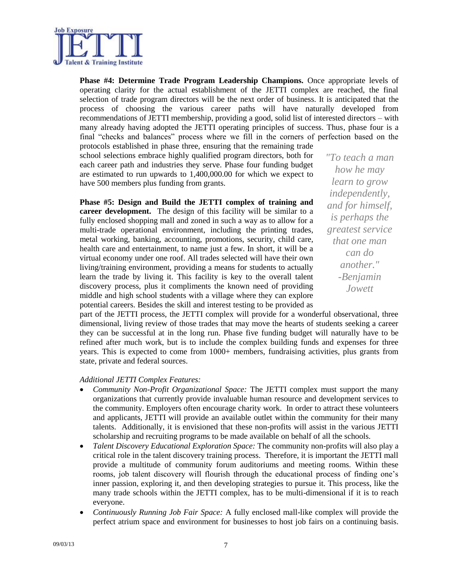

**Phase #4: Determine Trade Program Leadership Champions.** Once appropriate levels of operating clarity for the actual establishment of the JETTI complex are reached, the final selection of trade program directors will be the next order of business. It is anticipated that the process of choosing the various career paths will have naturally developed from recommendations of JETTI membership, providing a good, solid list of interested directors – with many already having adopted the JETTI operating principles of success. Thus, phase four is a final "checks and balances" process where we fill in the corners of perfection based on the protocols established in phase three, ensuring that the remaining trade

school selections embrace highly qualified program directors, both for each career path and industries they serve. Phase four funding budget are estimated to run upwards to 1,400,000.00 for which we expect to have 500 members plus funding from grants.

**Phase #5: Design and Build the JETTI complex of training and career development.** The design of this facility will be similar to a fully enclosed shopping mall and zoned in such a way as to allow for a multi-trade operational environment, including the printing trades, metal working, banking, accounting, promotions, security, child care, health care and entertainment, to name just a few. In short, it will be a virtual economy under one roof. All trades selected will have their own living/training environment, providing a means for students to actually learn the trade by living it. This facility is key to the overall talent discovery process, plus it compliments the known need of providing middle and high school students with a village where they can explore potential careers. Besides the skill and interest testing to be provided as *"To teach a man how he may learn to grow independently, and for himself, is perhaps the greatest service that one man can do another." -Benjamin Jowett*

part of the JETTI process, the JETTI complex will provide for a wonderful observational, three dimensional, living review of those trades that may move the hearts of students seeking a career they can be successful at in the long run. Phase five funding budget will naturally have to be refined after much work, but is to include the complex building funds and expenses for three years. This is expected to come from 1000+ members, fundraising activities, plus grants from state, private and federal sources.

#### *Additional JETTI Complex Features:*

- *Community Non-Profit Organizational Space:* The JETTI complex must support the many organizations that currently provide invaluable human resource and development services to the community. Employers often encourage charity work. In order to attract these volunteers and applicants, JETTI will provide an available outlet within the community for their many talents. Additionally, it is envisioned that these non-profits will assist in the various JETTI scholarship and recruiting programs to be made available on behalf of all the schools.
- *Talent Discovery Educational Exploration Space:* The community non-profits will also play a critical role in the talent discovery training process. Therefore, it is important the JETTI mall provide a multitude of community forum auditoriums and meeting rooms. Within these rooms, job talent discovery will flourish through the educational process of finding one's inner passion, exploring it, and then developing strategies to pursue it. This process, like the many trade schools within the JETTI complex, has to be multi-dimensional if it is to reach everyone.
- *Continuously Running Job Fair Space:* A fully enclosed mall-like complex will provide the perfect atrium space and environment for businesses to host job fairs on a continuing basis.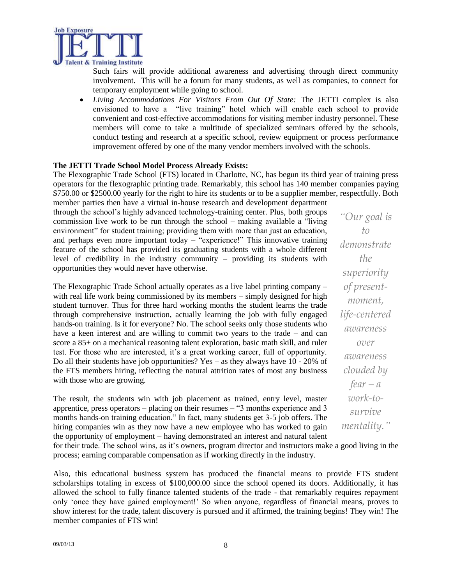

Such fairs will provide additional awareness and advertising through direct community involvement. This will be a forum for many students, as well as companies, to connect for temporary employment while going to school.

 *Living Accommodations For Visitors From Out Of State:* The JETTI complex is also envisioned to have a "live training" hotel which will enable each school to provide convenient and cost-effective accommodations for visiting member industry personnel. These members will come to take a multitude of specialized seminars offered by the schools, conduct testing and research at a specific school, review equipment or process performance improvement offered by one of the many vendor members involved with the schools.

#### **The JETTI Trade School Model Process Already Exists:**

The Flexographic Trade School (FTS) located in Charlotte, NC, has begun its third year of training press operators for the flexographic printing trade. Remarkably, this school has 140 member companies paying \$750.00 or \$2500.00 yearly for the right to hire its students or to be a supplier member, respectfully. Both

member parties then have a virtual in-house research and development department through the school's highly advanced technology-training center. Plus, both groups commission live work to be run through the school – making available a "living environment" for student training; providing them with more than just an education, and perhaps even more important today – "experience!" This innovative training feature of the school has provided its graduating students with a whole different level of credibility in the industry community – providing its students with opportunities they would never have otherwise.

The Flexographic Trade School actually operates as a live label printing company – with real life work being commissioned by its members – simply designed for high student turnover. Thus for three hard working months the student learns the trade through comprehensive instruction, actually learning the job with fully engaged hands-on training. Is it for everyone? No. The school seeks only those students who have a keen interest and are willing to commit two years to the trade – and can score a 85+ on a mechanical reasoning talent exploration, basic math skill, and ruler test. For those who are interested, it's a great working career, full of opportunity. Do all their students have job opportunities? Yes – as they always have 10 - 20% of the FTS members hiring, reflecting the natural attrition rates of most any business with those who are growing.

The result, the students win with job placement as trained, entry level, master apprentice, press operators – placing on their resumes – "3 months experience and 3 months hands-on training education." In fact, many students get 3-5 job offers. The hiring companies win as they now have a new employee who has worked to gain the opportunity of employment – having demonstrated an interest and natural talent *"Our goal is to demonstrate the superiority of presentmoment, life-centered awareness over awareness clouded by*   $fear - a$ *work-tosurvive mentality."*

for their trade. The school wins, as it's owners, program director and instructors make a good living in the process; earning comparable compensation as if working directly in the industry.

Also, this educational business system has produced the financial means to provide FTS student scholarships totaling in excess of \$100,000.00 since the school opened its doors. Additionally, it has allowed the school to fully finance talented students of the trade - that remarkably requires repayment only 'once they have gained employment!' So when anyone, regardless of financial means, proves to show interest for the trade, talent discovery is pursued and if affirmed, the training begins! They win! The member companies of FTS win!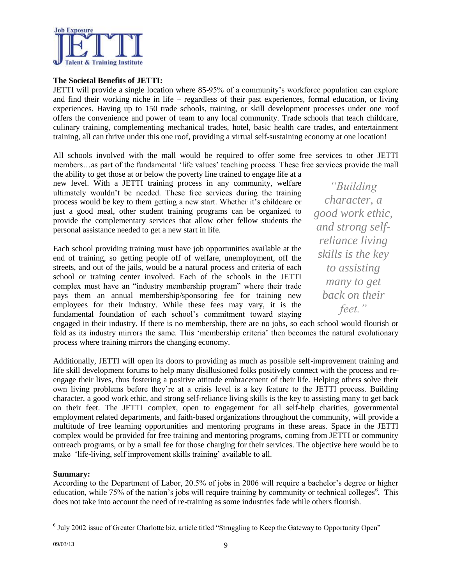

#### **The Societal Benefits of JETTI:**

JETTI will provide a single location where 85-95% of a community's workforce population can explore and find their working niche in life – regardless of their past experiences, formal education, or living experiences. Having up to 150 trade schools, training, or skill development processes under one roof offers the convenience and power of team to any local community. Trade schools that teach childcare, culinary training, complementing mechanical trades, hotel, basic health care trades, and entertainment training, all can thrive under this one roof, providing a virtual self-sustaining economy at one location!

All schools involved with the mall would be required to offer some free services to other JETTI members…as part of the fundamental 'life values' teaching process. These free services provide the mall

the ability to get those at or below the poverty line trained to engage life at a new level. With a JETTI training process in any community, welfare ultimately wouldn't be needed. These free services during the training process would be key to them getting a new start. Whether it's childcare or just a good meal, other student training programs can be organized to provide the complementary services that allow other fellow students the personal assistance needed to get a new start in life.

Each school providing training must have job opportunities available at the end of training, so getting people off of welfare, unemployment, off the streets, and out of the jails, would be a natural process and criteria of each school or training center involved. Each of the schools in the JETTI complex must have an "industry membership program" where their trade pays them an annual membership/sponsoring fee for training new employees for their industry. While these fees may vary, it is the fundamental foundation of each school's commitment toward staying

*"Building character, a good work ethic, and strong selfreliance living skills is the key to assisting many to get back on their feet."*

engaged in their industry. If there is no membership, there are no jobs, so each school would flourish or fold as its industry mirrors the same. This 'membership criteria' then becomes the natural evolutionary process where training mirrors the changing economy.

Additionally, JETTI will open its doors to providing as much as possible self-improvement training and life skill development forums to help many disillusioned folks positively connect with the process and reengage their lives, thus fostering a positive attitude embracement of their life. Helping others solve their own living problems before they're at a crisis level is a key feature to the JETTI process. Building character, a good work ethic, and strong self-reliance living skills is the key to assisting many to get back on their feet. The JETTI complex, open to engagement for all self-help charities, governmental employment related departments, and faith-based organizations throughout the community, will provide a multitude of free learning opportunities and mentoring programs in these areas. Space in the JETTI complex would be provided for free training and mentoring programs, coming from JETTI or community outreach programs, or by a small fee for those charging for their services. The objective here would be to make 'life-living, self improvement skills training' available to all.

#### **Summary:**

According to the Department of Labor, 20.5% of jobs in 2006 will require a bachelor's degree or higher education, while  $75\%$  of the nation's jobs will require training by community or technical colleges<sup>6</sup>. This does not take into account the need of re-training as some industries fade while others flourish.

<sup>&</sup>lt;sup>6</sup> July 2002 issue of Greater Charlotte biz, article titled "Struggling to Keep the Gateway to Opportunity Open"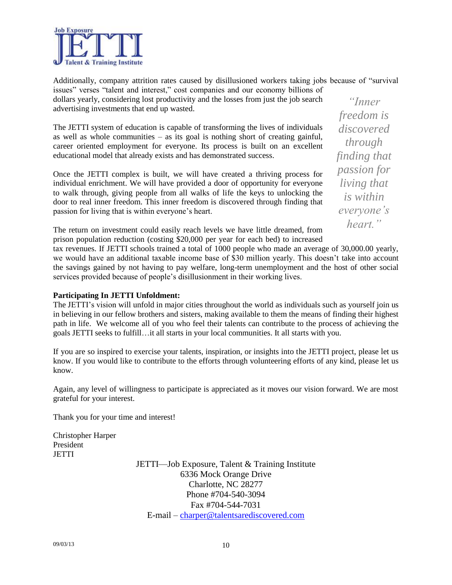

Additionally, company attrition rates caused by disillusioned workers taking jobs because of "survival issues" verses "talent and interest," cost companies and our economy billions of

dollars yearly, considering lost productivity and the losses from just the job search advertising investments that end up wasted.

The JETTI system of education is capable of transforming the lives of individuals as well as whole communities  $-$  as its goal is nothing short of creating gainful, career oriented employment for everyone. Its process is built on an excellent educational model that already exists and has demonstrated success.

Once the JETTI complex is built, we will have created a thriving process for individual enrichment. We will have provided a door of opportunity for everyone to walk through, giving people from all walks of life the keys to unlocking the door to real inner freedom. This inner freedom is discovered through finding that passion for living that is within everyone's heart.

*discovered through finding that passion for living that is within everyone's heart."*

*"Inner freedom is* 

The return on investment could easily reach levels we have little dreamed, from prison population reduction (costing \$20,000 per year for each bed) to increased

tax revenues. If JETTI schools trained a total of 1000 people who made an average of 30,000.00 yearly, we would have an additional taxable income base of \$30 million yearly. This doesn't take into account the savings gained by not having to pay welfare, long-term unemployment and the host of other social services provided because of people's disillusionment in their working lives.

#### **Participating In JETTI Unfoldment:**

The JETTI's vision will unfold in major cities throughout the world as individuals such as yourself join us in believing in our fellow brothers and sisters, making available to them the means of finding their highest path in life. We welcome all of you who feel their talents can contribute to the process of achieving the goals JETTI seeks to fulfill…it all starts in your local communities. It all starts with you.

If you are so inspired to exercise your talents, inspiration, or insights into the JETTI project, please let us know. If you would like to contribute to the efforts through volunteering efforts of any kind, please let us know.

Again, any level of willingness to participate is appreciated as it moves our vision forward. We are most grateful for your interest.

Thank you for your time and interest!

Christopher Harper President **JETTI** 

JETTI—Job Exposure, Talent & Training Institute 6336 Mock Orange Drive Charlotte, NC 28277 Phone #704-540-3094 Fax #704-544-7031 E-mail – [charper@talentsarediscovered.com](mailto:charper@talentsarediscovered.com)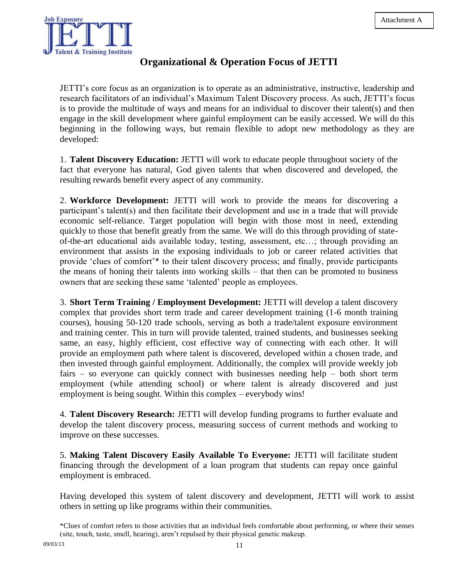

#### **Organizational & Operation Focus of JETTI**

JETTI's core focus as an organization is to operate as an administrative, instructive, leadership and research facilitators of an individual's Maximum Talent Discovery process. As such, JETTI's focus is to provide the multitude of ways and means for an individual to discover their talent(s) and then engage in the skill development where gainful employment can be easily accessed. We will do this beginning in the following ways, but remain flexible to adopt new methodology as they are developed:

1. **Talent Discovery Education:** JETTI will work to educate people throughout society of the fact that everyone has natural, God given talents that when discovered and developed, the resulting rewards benefit every aspect of any community.

2. **Workforce Development:** JETTI will work to provide the means for discovering a participant's talent(s) and then facilitate their development and use in a trade that will provide economic self-reliance. Target population will begin with those most in need, extending quickly to those that benefit greatly from the same. We will do this through providing of stateof-the-art educational aids available today, testing, assessment, etc…; through providing an environment that assists in the exposing individuals to job or career related activities that provide 'clues of comfort'\* to their talent discovery process; and finally, provide participants the means of honing their talents into working skills – that then can be promoted to business owners that are seeking these same 'talented' people as employees.

3. **Short Term Training / Employment Development:** JETTI will develop a talent discovery complex that provides short term trade and career development training (1-6 month training courses), housing 50-120 trade schools, serving as both a trade/talent exposure environment and training center. This in turn will provide talented, trained students, and businesses seeking same, an easy, highly efficient, cost effective way of connecting with each other. It will provide an employment path where talent is discovered, developed within a chosen trade, and then invested through gainful employment. Additionally, the complex will provide weekly job fairs – so everyone can quickly connect with businesses needing help – both short term employment (while attending school) or where talent is already discovered and just employment is being sought. Within this complex – everybody wins!

4. **Talent Discovery Research:** JETTI will develop funding programs to further evaluate and develop the talent discovery process, measuring success of current methods and working to improve on these successes.

5. **Making Talent Discovery Easily Available To Everyone:** JETTI will facilitate student financing through the development of a loan program that students can repay once gainful employment is embraced.

Having developed this system of talent discovery and development, JETTI will work to assist others in setting up like programs within their communities.

<sup>\*</sup>Clues of comfort refers to those activities that an individual feels comfortable about performing, or where their senses (site, touch, taste, smell, hearing), aren't repulsed by their physical genetic makeup.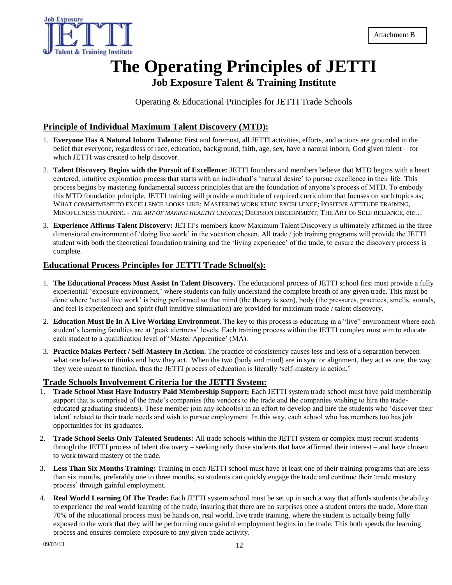

### **The Operating Principles of JETTI Job Exposure Talent & Training Institute**

Operating & Educational Principles for JETTI Trade Schools

#### **Principle of Individual Maximum Talent Discovery (MTD):**

- 1. **Everyone Has A Natural Inborn Talents:** First and foremost, all JETTI activities, efforts, and actions are grounded in the belief that everyone, regardless of race, education, background, faith, age, sex, have a natural inborn, God given talent – for which JETTI was created to help discover.
- 2. **Talent Discovery Begins with the Pursuit of Excellence:** JETTI founders and members believe that MTD begins with a heart centered, intuitive exploration process that starts with an individual's 'natural desire' to pursue excellence in their life. This process begins by mastering fundamental success principles that are the foundation of anyone's process of MTD. To embody this MTD foundation principle, JETTI training will provide a multitude of required curriculum that focuses on such topics as; WHAT COMMITMENT TO EXCELLENCE LOOKS LIKE; MASTERING WORK ETHIC EXCELLENCE; POSITIVE ATTITUDE TRAINING, MINDFULNESS TRAINING - *THE ART OF MAKING HEALTHY CHOICES*; DECISION DISCERNMENT; THE ART OF SELF RELIANCE, etc…
- 3. **Experience Affirms Talent Discovery:** JETTI's members know Maximum Talent Discovery is ultimately affirmed in the three dimensional environment of 'doing live work' in the vocation chosen. All trade / job training programs will provide the JETTI student with both the theoretical foundation training and the 'living experience' of the trade, to ensure the discovery process is complete.

#### **Educational Process Principles for JETTI Trade School(s):**

- 1. **The Educational Process Must Assist In Talent Discovery.** The educational process of JETTI school first must provide a fully experiential 'exposure environment,' where students can fully understand the complete breath of any given trade. This must be done where 'actual live work' is being performed so that mind (the theory is seen), body (the pressures, practices, smells, sounds, and feel is experienced) and spirit (full intuitive stimulation) are provided for maximum trade / talent discovery.
- 2. **Education Must Be In A Live Working Environment**. The key to this process is educating in a "live" environment where each student's learning faculties are at 'peak alertness' levels. Each training process within the JETTI complex must aim to educate each student to a qualification level of 'Master Apprentice' (MA).
- 3. **Practice Makes Perfect / Self-Mastery In Action.** The practice of consistency causes less and less of a separation between what one believes or thinks and how they act. When the two (body and mind) are in sync or alignment, they act as one, the way they were meant to function, thus the JETTI process of education is literally 'self-mastery in action.'

#### **Trade Schools Involvement Criteria for the JETTI System:**

- 1. **Trade School Must Have Industry Paid Membership Support:** Each JETTI system trade school must have paid membership support that is comprised of the trade's companies (the vendors to the trade and the companies wishing to hire the tradeeducated graduating students). These member join any school(s) in an effort to develop and hire the students who 'discover their talent' related to their trade needs and wish to pursue employment. In this way, each school who has members too has job opportunities for its graduates.
- 2. **Trade School Seeks Only Talented Students:** All trade schools within the JETTI system or complex must recruit students through the JETTI process of talent discovery – seeking only those students that have affirmed their interest – and have chosen to work toward mastery of the trade.
- 3. **Less Than Six Months Training:** Training in each JETTI school must have at least one of their training programs that are less than six months, preferably one to three months, so students can quickly engage the trade and continue their 'trade mastery process' through gainful employment.
- 4. **Real World Learning Of The Trade:** Each JETTI system school must be set up in such a way that affords students the ability to experience the real world learning of the trade, insuring that there are no surprises once a student enters the trade. More than 70% of the educational process must be hands on, real world, live trade training, where the student is actually being fully exposed to the work that they will be performing once gainful employment begins in the trade. This both speeds the learning process and ensures complete exposure to any given trade activity.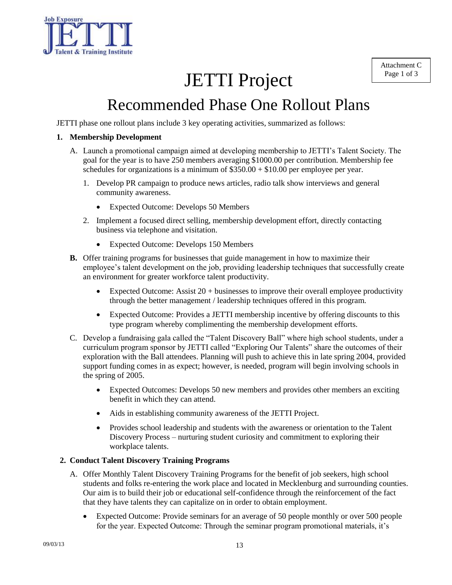

# JETTI Project

# Recommended Phase One Rollout Plans

JETTI phase one rollout plans include 3 key operating activities, summarized as follows:

#### **1. Membership Development**

- A. Launch a promotional campaign aimed at developing membership to JETTI's Talent Society. The goal for the year is to have 250 members averaging \$1000.00 per contribution. Membership fee schedules for organizations is a minimum of  $$350.00 + $10.00$  per employee per year.
	- 1. Develop PR campaign to produce news articles, radio talk show interviews and general community awareness.
		- Expected Outcome: Develops 50 Members
	- 2. Implement a focused direct selling, membership development effort, directly contacting business via telephone and visitation.
		- Expected Outcome: Develops 150 Members
- **B.** Offer training programs for businesses that guide management in how to maximize their employee's talent development on the job, providing leadership techniques that successfully create an environment for greater workforce talent productivity.
	- Expected Outcome: Assist 20 + businesses to improve their overall employee productivity through the better management / leadership techniques offered in this program.
	- Expected Outcome: Provides a JETTI membership incentive by offering discounts to this type program whereby complimenting the membership development efforts.
- C. Develop a fundraising gala called the "Talent Discovery Ball" where high school students, under a curriculum program sponsor by JETTI called "Exploring Our Talents" share the outcomes of their exploration with the Ball attendees. Planning will push to achieve this in late spring 2004, provided support funding comes in as expect; however, is needed, program will begin involving schools in the spring of 2005.
	- Expected Outcomes: Develops 50 new members and provides other members an exciting benefit in which they can attend.
	- Aids in establishing community awareness of the JETTI Project.
	- Provides school leadership and students with the awareness or orientation to the Talent Discovery Process – nurturing student curiosity and commitment to exploring their workplace talents.

#### **2. Conduct Talent Discovery Training Programs**

- A. Offer Monthly Talent Discovery Training Programs for the benefit of job seekers, high school students and folks re-entering the work place and located in Mecklenburg and surrounding counties. Our aim is to build their job or educational self-confidence through the reinforcement of the fact that they have talents they can capitalize on in order to obtain employment.
	- Expected Outcome: Provide seminars for an average of 50 people monthly or over 500 people for the year. Expected Outcome: Through the seminar program promotional materials, it's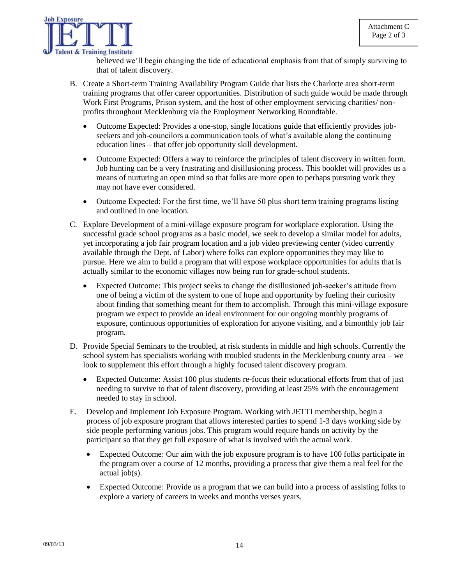

believed we'll begin changing the tide of educational emphasis from that of simply surviving to that of talent discovery.

- B. Create a Short-term Training Availability Program Guide that lists the Charlotte area short-term training programs that offer career opportunities. Distribution of such guide would be made through Work First Programs, Prison system, and the host of other employment servicing charities/ nonprofits throughout Mecklenburg via the Employment Networking Roundtable.
	- Outcome Expected: Provides a one-stop, single locations guide that efficiently provides jobseekers and job-councilors a communication tools of what's available along the continuing education lines – that offer job opportunity skill development.
	- Outcome Expected: Offers a way to reinforce the principles of talent discovery in written form. Job hunting can be a very frustrating and disillusioning process. This booklet will provides us a means of nurturing an open mind so that folks are more open to perhaps pursuing work they may not have ever considered.
	- Outcome Expected: For the first time, we'll have 50 plus short term training programs listing and outlined in one location.
- C. Explore Development of a mini-village exposure program for workplace exploration. Using the successful grade school programs as a basic model, we seek to develop a similar model for adults, yet incorporating a job fair program location and a job video previewing center (video currently available through the Dept. of Labor) where folks can explore opportunities they may like to pursue. Here we aim to build a program that will expose workplace opportunities for adults that is actually similar to the economic villages now being run for grade-school students.
	- Expected Outcome: This project seeks to change the disillusioned job-seeker's attitude from one of being a victim of the system to one of hope and opportunity by fueling their curiosity about finding that something meant for them to accomplish. Through this mini-village exposure program we expect to provide an ideal environment for our ongoing monthly programs of exposure, continuous opportunities of exploration for anyone visiting, and a bimonthly job fair program.
- D. Provide Special Seminars to the troubled, at risk students in middle and high schools. Currently the school system has specialists working with troubled students in the Mecklenburg county area – we look to supplement this effort through a highly focused talent discovery program.
	- Expected Outcome: Assist 100 plus students re-focus their educational efforts from that of just needing to survive to that of talent discovery, providing at least 25% with the encouragement needed to stay in school.
- E. Develop and Implement Job Exposure Program. Working with JETTI membership, begin a process of job exposure program that allows interested parties to spend 1-3 days working side by side people performing various jobs. This program would require hands on activity by the participant so that they get full exposure of what is involved with the actual work.
	- Expected Outcome: Our aim with the job exposure program is to have 100 folks participate in the program over a course of 12 months, providing a process that give them a real feel for the actual job(s).
	- Expected Outcome: Provide us a program that we can build into a process of assisting folks to explore a variety of careers in weeks and months verses years.